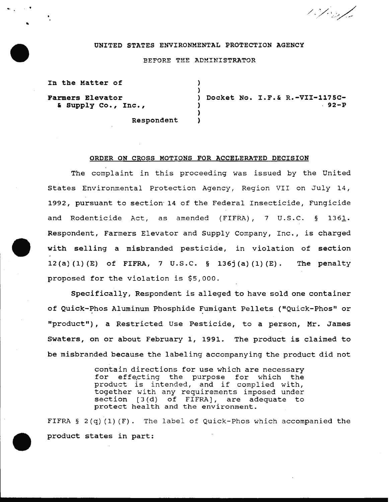10 f 0 s/2

#### UNITED STATES ENVIRONMENTAL PROTECTION AGENCY

## BEFORE THE ADMINISTRATOR

) )

> ) )

In the Matter of

..

Farmers Elevator & supply co., Inc., ) Docket No. I.F.& R.-VII-1175C-  $.92-P$ 

Respondent

# ORDER ON CROSS MOTIONS FOR ACCELERATED DECISION

The complaint in this proceeding was issued by the United States Environmental Protection Agency, Region VII on July 14, 1992, pursuant to section· 14 of the Federal Insecticide, Fungicide and Rodenticide Act, as amended (FIFRA), 7 U.S.C. § 1361. Respondent, Farmers Elevator and Supply Company, Inc., is charged with selling a misbranded pesticide, in violation of section 12(a)(l)(E) of FIFRA, 7 U.S.C. § 136j(a)(l)(E). The penalty proposed for the violation is \$5,000.

Specifically, Respondent is alleged to have sold one container of Quick-Phos Aluminum Phosphide Fumigant Pellets ("Quick-Phos" or "product"), a Restricted Use Pesticide, to a person, Mr. James Swaters, on or about February 1, 1991. The product is claimed to be misbranded because the labeling accompanying the product did not

> contain directions for use which are necessary effecting the purpose for which the product is intended, and if complied with, together with any requirements imposed under section [3(d) of FIFRA), are adequate to protect health and the environment.

FIFRA § 2(q) (1) (F). The label of Quick-Phos which accompanied the product states in part: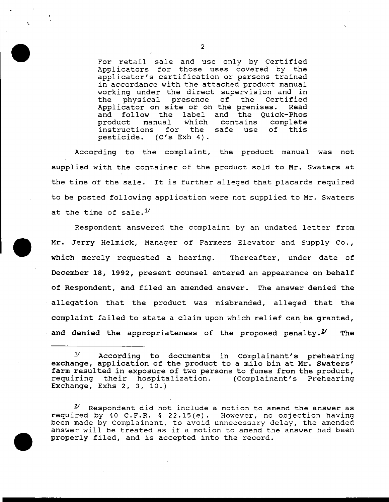For retail sale and use only by Certified Applicators for those uses covered by the applicator's certification or persons trained in accordance with the attached product manual working under the direct supervision and in<br>the physical presence of the Certified the physical presence of the Certified<br>Applicator on site-or-on-the-premises. Read Applicator on site or on the premises.<br>and follow the label and the Quic and follow the label and the Quick-Phos<br>product manual which contains complete al which contains<br>for the safe use instructions for the safe use of this pesticide. (C's Exh 4).

According to the complaint, the product manual was not supplied with the container of the product sold to Mr. Swaters at the time of the sale. It is further alleged that placards required to be posted following application were not supplied to Mr. Swaters at the time of sale. $^{1/2}$ 

Respondent answered the complaint by an undated letter from Mr. Jerry Helmick, Manager of Farmers Elevator and Supply Co., which merely requested a hearing. Thereafter, under date of December 18, 1992, present counsel entered an appearance on behalf of Respondent, and filed an amended answer. The answer denied the allegation that the product was misbranded, alleged that the complaint failed to state a claim upon which relief can be granted, and denied the appropriateness of the proposed penalty.<sup>2</sup> The

2

·.

 $1'$  According to documents in Complainant's prehearing exchange, application of the product to a milo bin at Mr. Swaters' farm resulted in exposure of two persons to fumes from the product,<br>requiring their hospitalization. (Complainant's Prehearing requiring their hospitalization. Exchange, Exhs 2, 3, 10.)

Respondent did not include a motion to amend the answer as required by 40 C.F.R. § 22.15(e). However, no objection having been made by Complainant, to avoid unnecessary delay, the amended answer will be treated as if a motion to amend the answer had been properly filed, and is accepted into the record.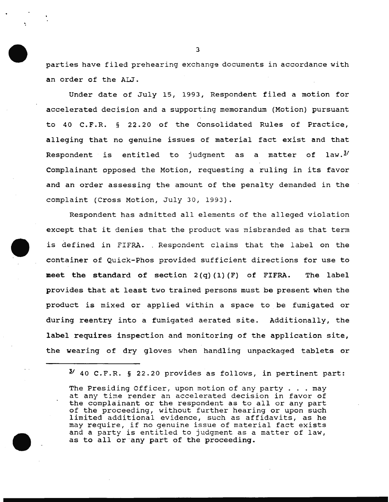parties have filed prehearing exchange documents in accordance with an order of the ALJ.

Under date of July 15, 1993, Respondent filed a motion for accelerated decision and a supporting memorandum (Motion) pursuant to 40 C.F.R. § 22.20 of the Consolidated Rules of Practice, alleging that no genuine issues of material fact exist and that Respondent is entitled to judgment as a matter of law. $3/1$ Complainant opposed the Motion, requesting a ruling in its favor and an order assessing the amount of the penalty demanded in the complaint (Cross Motion, July 30, 1993).

Respondent has admitted all elements of the alleged violation except that it denies that the product was misbranded as that term is defined in FIFRA. Respondent claims that the label on the container of Quick-Phos provided sufficient directions for use to meet the standard of section  $2(q)(1)(F)$  of FIFRA. The label provides that at least two trained persons must be present when the product is mixed or applied within a space to be fumigated or during reentry into a fumigated aerated site. Additionally, the label requires inspection and monitoring of the application site, the wearing of dry gloves when handling unpackaged tablets or

 $^{3}$  40 C.F.R. § 22.20 provides as follows, in pertinent part:

The Presiding Officer, upon motion of any party . . . may at any time render an accelerated decision in favor of the complainant or the respondent as to all or any part of the proceeding, without further hearing or upon such limited additional evidence, such as affidavits, as he may require, if no genuine issue of material fact exists and a party is entitled to judgment as a matter of law, as to all or any part of the proceeding.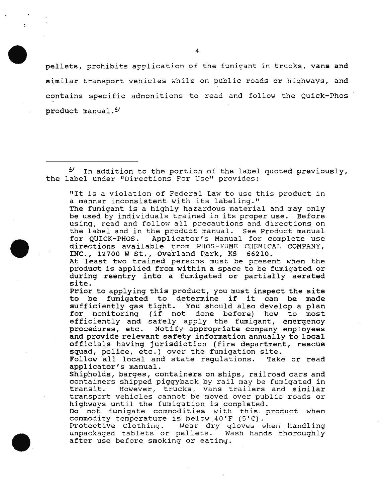pellets, prohibits application of the fumigant in trucks, vans and similar transport vehicles while on public roads or highways, and contains specific admonitions to read and follow the Quick-Phos product manual.<sup>4/</sup>

 $4'$  In addition to the portion of the label quoted previously, the label under "Directions For Use" provides:

"It is a violation of Federal Law to use this product in a manner inconsistent with its labeling."

The fumigant is a highly hazardous material and may only be used by individuals trained in its proper use. Before using, read and follow all precautions and directions on the label and in the product manual. See Product manual Applicator's Manual for complete use directions available from PHOS-FUME CHEMICAL COMPANY, INC., 12700 W St., Overland Park, KS 66210.

At least two trained persons must be present when the product is applied from within a space to be fumigated or during reentry into a fumigated or partially aerated site.

Prior to applying this product, you must inspect the site to be fumigated to determine if it can be made sufficiently gas tight. You should also develop a plan for monitoring {if not done before) how to most efficiently and safely apply the fumigant, emergency procedures, etc. Notify appropriate company employees and provide relevant safety information annually to local officials having jurisdiction {fire department, rescue

squad, police, etc.) over the fumigation site.<br>Follow all local and state regulations. Take or read Follow all local and state regulations. applicator's manual.

Shipholds, barges, containers on ships, railroad cars and containers shipped piggyback by rail may be fumigated in However, trucks, vans trailers and similar transport vehicles cannot be moved over public roads or highways until the fumigation is completed.

Do not fumigate commodities with this. product when commodity temperature is below\_40"F (5"C).

Protective Clothing. Wear dry gloves when handling unpackaged tablets or pellets. Wash hands thoroughly after use before smoking or eating.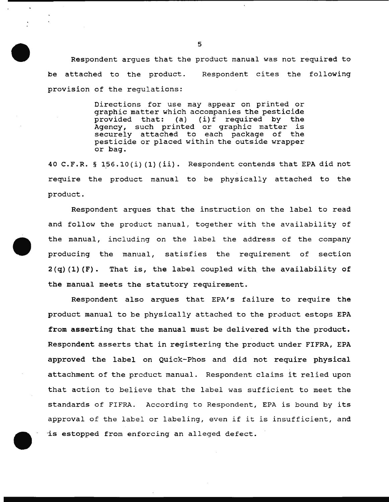Respondent argues that the product manual was not required to be attached to the product. Respondent cites the following provision of the regulations:

> Directions for use may appear on printed or graphic matter which accompanies the pesticide<br>provided that: (a) (i)f required by the  $(i)$  f required by the provided that: (d) (1) required by the<br>Agency, such printed or graphic matter is securely attached to each package of the pesticide or placed within the outside wrapper or bag.

40 C.F.R. § 156.10(i) (1) (ii). Respondent contends that EPA did not require the product manual to be physically attached to the product.

Respondent argues that the instruction on the label to read and follow the product manual, together with the availability of the manual, including on the label the address of the company producing the manual, satisfies the requirement of section  $2(q)$  (1) (F). That is, the label coupled with the availability of the manual meets the statutory requirement.

Respondent also argues that EPA's failure to require the product manual to be physically attached to the product estops EPA from asserting that the manual must be delivered with the product. Respondent asserts that in registering the product under FIFRA, EPA approved the label on Quick-Phos and did not require physical attachment of the prcduct manual. Respondent claims it relied upon that action to believe that the label was sufficient to meet the standards of FIFRA. According to Respondent, EPA is bound by its approval of the label or labeling, even if it is insufficient, and -is estopped from enforcing an alleged defect.

5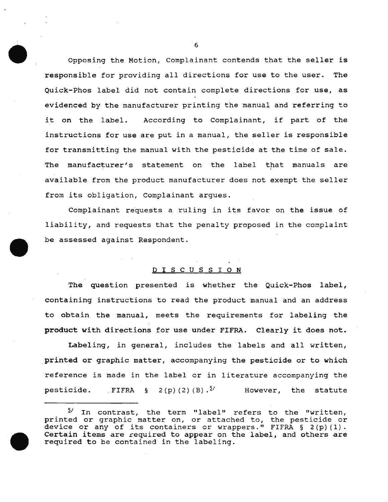Opposing the Motion, Complainant contends that the seller is responsible for providing all directions for use to the user. The Quick-Phos label did not contain complete directions for use, as evidenced by the manufacturer printing the manual and referring to it on the label. According to Complainant, if part of the instructions for use are put in a manual, the seller is responsible for transmitting the manual with the pesticide at the time of sale. The manufacturer's statement on the label that manuals are available from the product manufacturer does not exempt the seller from its obligation, Complainant argues.

Complainant requests a ruling in its favor on the issue of liability, and requests that the penalty proposed in the complaint be assessed against Respondent.

# D I S C U S S I O N

The question presented is whether the Quick-Phos label, containing instructions to read the product manual and an address to obtain the manual, meets the requirements for labeling the product with directions for use under FIFRA. Clearly it does not.

Labeling, in general, includes the labels and all written, printed or graphic matter, accompanying the pesticide or to which reference is made in the label or in literature accompanying the pesticide. , FIFRA  $\S$  2(p)(2)(B).<sup> $5/$ </sup> However, the statute

 $1/2$  In contrast, the term "label" refers to the "written, printed or graphic matter on, or attached to, the pesticide or princed of graphic macter on, or actached to, the pesticide of<br>device or any of its containers or wrappers." FIFRA § 2(p)(1). Certain items are required to appear on the label, and others are required to be contained in the labeling.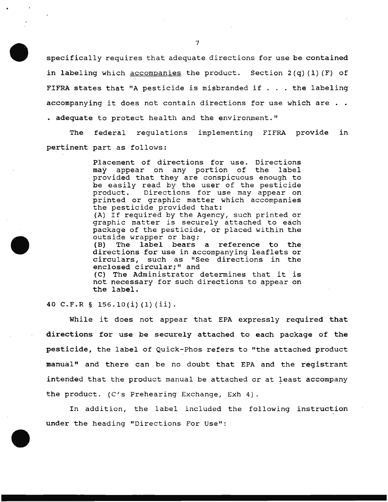specifically requires that adequate directions for use be contained in labeling which accompanies the product. Section 2(q) (1) (F) of FIFRA states that "A pesticide is misbranded if . . . the labeling accompanying it does not contain directions for use which are . . • adequate to protect health and the environment."

The federal regulations implementing FIFRA provide in pertinent part as follows:

> Placement of directions for use. Directions may appear on any portion of the label provided that they are conspicuous enough to be easily read by the user of the pesticide product. Directions for use may appear on printed or graphic matter which accompanies the pesticide provided that:

> (A) If required by the Agency, such printed or graphic matter is securely attached to each package of the pesticide, or placed within the outside wrapper or bag;

> (B) The label bears a reference to the directions for use in accompanying leaflets or circulars, such as "See directions in the enclosed circular;" and

> (C) The Administrator determines that it is not necessary for such directions to appear on the label.

40 C.F.R § 156.10(i) (1} (ii).

While it does not appear that EPA expressly required that directions for use be securely attached to each package of the pesticide, the label of Quick-Phos refers to "the attached product manual" and there can be no doubt that EPA and the registrant intended that the product manual be attached or at least accompany the product. (C's Prehearing Exchange, Exh 4).

In addition, the label included the following instruction under the heading "Directions For Use":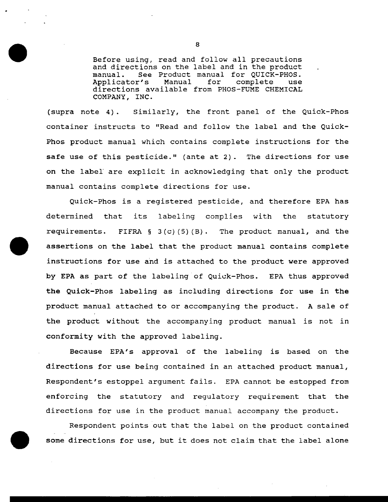Before using, read and follow all precautions and directions on the label and in the product manual. See Product manual for QUICK-PHOS. See Product manual for QUICK-PHOS.<br>r's Manual for complete use Applicator's directions available from PHOS-FUME CHEMICAL COMPANY, INC.

(supra note 4) . Similarly, the front panel of the Quick-Phos container instructs to "Read and follow the label and the Quick-Phos product manual which contains complete instructions for the safe use of this pesticide." (ante at 2). The directions for use on the label are explicit in acknowledging that only the product manual contains complete directions for use.

Quick-Phos is a registered pesticide, and therefore EPA has determined that its labeling complies with the statutory requirements. FIFRA  $\S$  3(c)(5)(B). The product manual, and the assertions on the label that the product manual contains complete instructions for use and is attached to the product were approved by EPA as part of the labeling of Quick-Phos. EPA thus approved the Quick-Phos labeling as including directions for use in the product manual attached to or accompanying the product. A sale of the product without the accompanying product manual is not in conformity with the approved labeling.

Because EPA's approval of the labeling is based on the directions for use being contained in an attached product manual, Respondent's estoppel argument fails. EPA cannot be estopped from enforcing the statutory and regulatory requirement that the directions for use in the product manual accompany the product.

Respondent points out that the label on the product contained some directions for use, but it does not claim that the label alone

8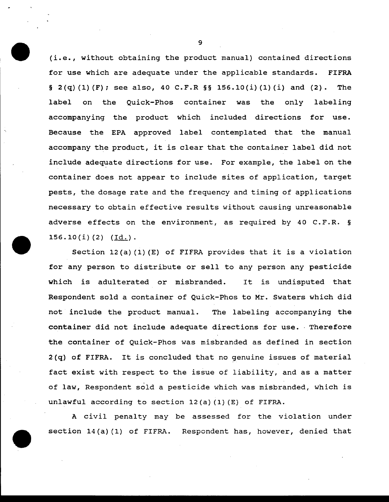(i.e., without obtaining the product manual) contained directions for use which are adequate under the applicable standards. FIFRA § 2(q)(1)(F); see also, 40 C.F.R §§ 156.10(i)(1)(i) and (2). The label on the Quick-Phos container was the only labeling accompanying the product which included directions for use. Because the EPA approved label contemplated that the manual accompany the product, it is clear that the container label did not include adequate directions for use. For example, the label on the container does not appear to include sites of application, target pests, the dosage rate and the frequency and timing of applications necessary to obtain effective results without causing unreasonable adverse effects on the environment, as required by 40 C.F.R. §  $156.10(i)(2)$  (Id.).

Section 12(a) (1) (E) of FIFRA provides that it is a violation for any person to distribute or sell to any person any pesticide which is adulterated or misbranded. It is undisputed that Respondent sold a container of Quick-Phos to Mr. Swaters which did not include the product manual. The labeling accompanying the container did not include adequate directions for use. Therefore the container of Quick-Phos was misbranded as defined in section 2(q) of FIFRA. It is concluded that no genuine issues of material fact exist with respect to the issue of liability, and as a matter of law, Respondent sold a pesticide which was misbranded, which is unlawful according to section 12(a) (1) (E) of FIFRA.

A civil penalty may be assessed for the violation under section 14(a) (1) of FIFRA. Respondent has, however, denied that

9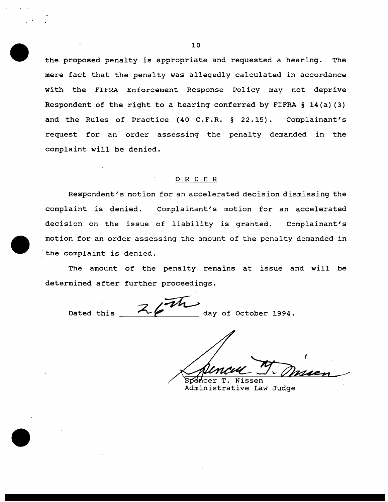the proposed penalty is appropriate and requested a hearing. The mere fact that the penalty was allegedly calculated in accordance with the FIFRA Enforcement Response Policy may not deprive Respondent of the right to a hearing conferred by FIFRA § 14(a) (3) and the Rules of Practice (40 C.F.R. § 22.15). Complainant's request for an order assessing the penalty demanded in the complaint will be denied.

## 0 R D E R

Respondent's motion for an accelerated decision dismissing the complaint is denied. Complainant's motion for an accelerated decision on the issue of liability is granted. Complainant's motion for an order assessing the amount of the penalty demanded in the complaint is denied.

The amount of the penalty remains at issue and will be

determined after further proceedings.<br>Dated this  $\overline{\mathcal{Z}}$  ay of October 1994.

cer T. Nissen

Administrative Law Judge